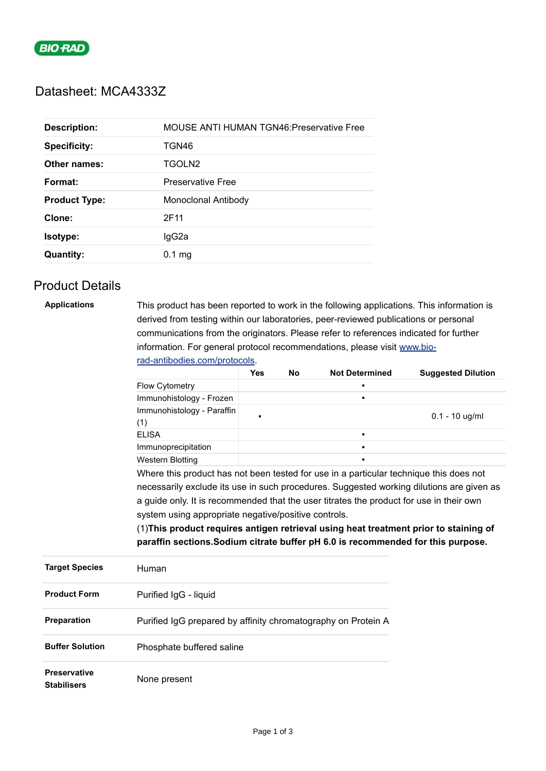

## Datasheet: MCA4333Z

| <b>Description:</b>  | <b>MOUSE ANTI HUMAN TGN46: Preservative Free</b> |
|----------------------|--------------------------------------------------|
| <b>Specificity:</b>  | TGN46                                            |
| Other names:         | TGOLN2                                           |
| Format:              | <b>Preservative Free</b>                         |
| <b>Product Type:</b> | Monoclonal Antibody                              |
| Clone:               | 2F11                                             |
| Isotype:             | lgG2a                                            |
| <b>Quantity:</b>     | $0.1$ mg                                         |

## Product Details

**Applications** This product has been reported to work in the following applications. This information is derived from testing within our laboratories, peer-reviewed publications or personal communications from the originators. Please refer to references indicated for further information. For general protocol recommendations, please visit [www.bio](https://www.bio-rad-antibodies.com/protocols)rad-antibodies.com/protocols.

|                                    |                                                                                                                                                                                                                                                                                                                                                                                                                                                                                                                    | <b>Yes</b> | No | <b>Not Determined</b> | <b>Suggested Dilution</b> |
|------------------------------------|--------------------------------------------------------------------------------------------------------------------------------------------------------------------------------------------------------------------------------------------------------------------------------------------------------------------------------------------------------------------------------------------------------------------------------------------------------------------------------------------------------------------|------------|----|-----------------------|---------------------------|
|                                    | Flow Cytometry                                                                                                                                                                                                                                                                                                                                                                                                                                                                                                     |            |    |                       |                           |
|                                    | Immunohistology - Frozen                                                                                                                                                                                                                                                                                                                                                                                                                                                                                           |            |    | г                     |                           |
|                                    | Immunohistology - Paraffin<br>(1)                                                                                                                                                                                                                                                                                                                                                                                                                                                                                  |            |    |                       | $0.1 - 10$ ug/ml          |
|                                    | <b>ELISA</b>                                                                                                                                                                                                                                                                                                                                                                                                                                                                                                       |            |    | ٠                     |                           |
|                                    | Immunoprecipitation                                                                                                                                                                                                                                                                                                                                                                                                                                                                                                |            |    | $\blacksquare$        |                           |
|                                    | <b>Western Blotting</b>                                                                                                                                                                                                                                                                                                                                                                                                                                                                                            |            |    |                       |                           |
|                                    | Where this product has not been tested for use in a particular technique this does not<br>necessarily exclude its use in such procedures. Suggested working dilutions are given as<br>a guide only. It is recommended that the user titrates the product for use in their own<br>system using appropriate negative/positive controls.<br>(1) This product requires antigen retrieval using heat treatment prior to staining of<br>paraffin sections. Sodium citrate buffer pH 6.0 is recommended for this purpose. |            |    |                       |                           |
| <b>Target Species</b>              | Human                                                                                                                                                                                                                                                                                                                                                                                                                                                                                                              |            |    |                       |                           |
| <b>Product Form</b>                | Purified IgG - liquid                                                                                                                                                                                                                                                                                                                                                                                                                                                                                              |            |    |                       |                           |
| Preparation                        | Purified IgG prepared by affinity chromatography on Protein A                                                                                                                                                                                                                                                                                                                                                                                                                                                      |            |    |                       |                           |
| <b>Buffer Solution</b>             | Phosphate buffered saline                                                                                                                                                                                                                                                                                                                                                                                                                                                                                          |            |    |                       |                           |
| Preservative<br><b>Stabilisers</b> | None present                                                                                                                                                                                                                                                                                                                                                                                                                                                                                                       |            |    |                       |                           |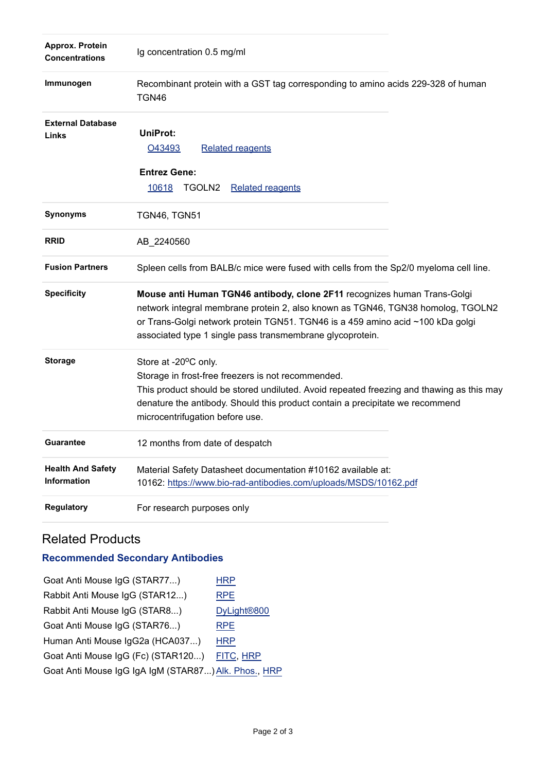| Approx. Protein<br><b>Concentrations</b>       | Ig concentration 0.5 mg/ml                                                                                                                                                                                                                                                                                 |
|------------------------------------------------|------------------------------------------------------------------------------------------------------------------------------------------------------------------------------------------------------------------------------------------------------------------------------------------------------------|
| Immunogen                                      | Recombinant protein with a GST tag corresponding to amino acids 229-328 of human<br><b>TGN46</b>                                                                                                                                                                                                           |
| <b>External Database</b><br>Links              | UniProt:<br>O43493<br><b>Related reagents</b><br><b>Entrez Gene:</b><br>TGOLN <sub>2</sub><br><u> 10618 </u><br><b>Related reagents</b>                                                                                                                                                                    |
| <b>Synonyms</b>                                | TGN46, TGN51                                                                                                                                                                                                                                                                                               |
| <b>RRID</b>                                    | AB_2240560                                                                                                                                                                                                                                                                                                 |
| <b>Fusion Partners</b>                         | Spleen cells from BALB/c mice were fused with cells from the Sp2/0 myeloma cell line.                                                                                                                                                                                                                      |
| <b>Specificity</b>                             | Mouse anti Human TGN46 antibody, clone 2F11 recognizes human Trans-Golgi<br>network integral membrane protein 2, also known as TGN46, TGN38 homolog, TGOLN2<br>or Trans-Golgi network protein TGN51. TGN46 is a 459 amino acid ~100 kDa golgi<br>associated type 1 single pass transmembrane glycoprotein. |
| <b>Storage</b>                                 | Store at -20°C only.<br>Storage in frost-free freezers is not recommended.<br>This product should be stored undiluted. Avoid repeated freezing and thawing as this may<br>denature the antibody. Should this product contain a precipitate we recommend<br>microcentrifugation before use.                 |
| <b>Guarantee</b>                               | 12 months from date of despatch                                                                                                                                                                                                                                                                            |
| <b>Health And Safety</b><br><b>Information</b> | Material Safety Datasheet documentation #10162 available at:<br>10162: https://www.bio-rad-antibodies.com/uploads/MSDS/10162.pdf                                                                                                                                                                           |
| <b>Regulatory</b>                              | For research purposes only                                                                                                                                                                                                                                                                                 |

# Related Products

# **Recommended Secondary Antibodies**

| Goat Anti Mouse IgG (STAR77)                         | <b>HRP</b>              |
|------------------------------------------------------|-------------------------|
| Rabbit Anti Mouse IgG (STAR12)                       | <b>RPE</b>              |
| Rabbit Anti Mouse IgG (STAR8)                        | DyLight <sup>®800</sup> |
| Goat Anti Mouse IgG (STAR76)                         | <b>RPE</b>              |
| Human Anti Mouse IgG2a (HCA037)                      | <b>HRP</b>              |
| Goat Anti Mouse IgG (Fc) (STAR120)                   | FITC, HRP               |
| Goat Anti Mouse IgG IgA IgM (STAR87) Alk. Phos., HRP |                         |